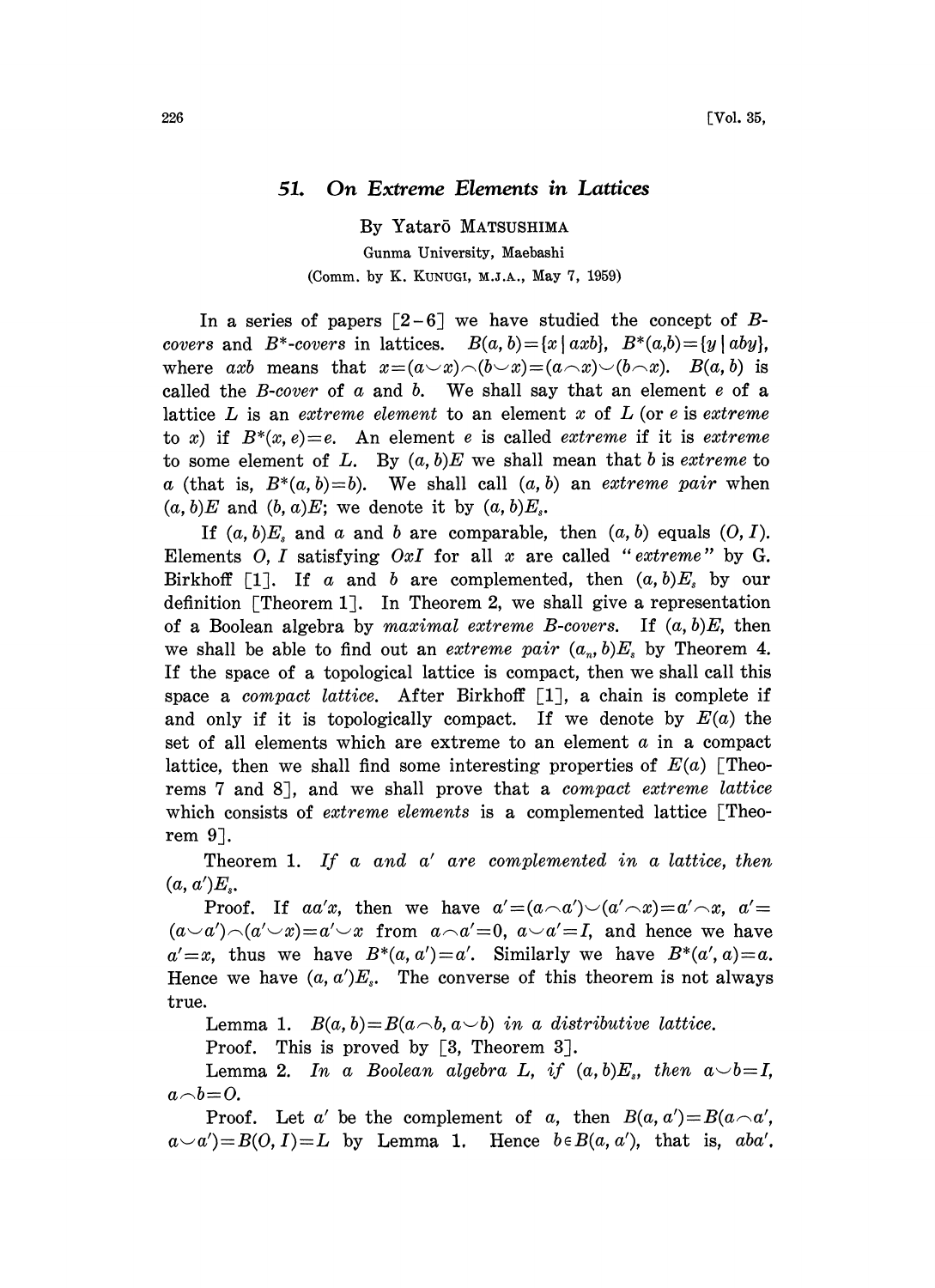## 51. On Extreme Elements in Lattices

By Yatar5 MATSUSHIMA

Gunma University, Maebashi (Comm. by K. KUNUGI, M.J.A., May 7, 1959)

In a series of papers  $\lceil 2-6 \rceil$  we have studied the concept of Bcovers and B<sup>\*</sup>-covers in lattices.  $B(a, b) = \{x \mid axb\}$ ,  $B^*(a,b) = \{y \mid aby\}$ , where axb means that  $x=(a\vee x)\wedge(b\vee x)=(a\wedge x)\vee(b\wedge x)$ .  $B(a, b)$  is called the  $B\text{-}cover$  of  $a$  and  $b$ . We shall say that an element  $e$  of a lattice L is an extreme element to an element x of  $L$  (or e is extreme to x) if  $B^*(x, e) = e$ . An element e is called extreme if it is extreme to some element of L. By  $(a, b)E$  we shall mean that b is *extreme* to a (that is,  $B^*(a, b) = b$ ). We shall call  $(a, b)$  an *extreme pair* when  $(a, b)E$  and  $(b, a)E$ ; we denote it by  $(a, b)E_s$ .

If  $(a, b)E$ , and a and b are comparable, then  $(a, b)$  equals  $(0, I)$ . Elements O, I satisfying OxI for all x are called "extreme" by G. Birkhoff [1]. If a and b are complemented, then  $(a, b)E<sub>s</sub>$  by our definition  $[Theorem 1]$ . In Theorem 2, we shall give a representation of a Boolean algebra by maximal extreme B-covers. If  $(a, b)E$ , then we shall be able to find out an *extreme pair*  $(a_n, b)E_s$  by Theorem 4. If the space of a topological lattice is compact, then we shall call this space a *compact lattice*. After Birkhoff  $\lceil 1 \rceil$ , a chain is complete if and only if it is topologically compact. If we denote by  $E(a)$  the set of all elements which are extreme to an element  $a$  in a compact lattice, then we shall find some interesting properties of  $E(a)$  [Theorems 7 and 8], and we shall prove that a compact extreme lattice which consists of *extreme elements* is a complemented lattice [Theorem  $9$ ].

Theorem 1. If a and a' are complemented in a lattice, then  $(a, a')E<sub>s</sub>$ .

Proof. If aa'x, then we have  $a'=(a\wedge a')\vee (a'\wedge x)=a'\wedge x$ ,  $a'=$  $(a-a')\neg(a'\vee x)=a'\vee x$  from  $a\neg a'=0$ ,  $a\vee a'=I$ , and hence we have  $a' = x$ , thus we have  $B^*(a, a') = a'$ . Similarly we have  $B^*(a', a) = a$ . Hence we have  $(a, a')E_s$ . The converse of this theorem is not always true.

Lemma 1.  $B(a, b)=B(a\wedge b, a\vee b)$  in a distributive lattice.

Proof. This is proved by  $\lceil 3, \text{ Theorem } 3 \rceil$ .

Lemma 2. In a Boolean algebra L, if  $(a, b)E_s$ , then  $a \smile b = I$ ,  $a \neg b = 0$ .

Proof. Let a' be the complement of a, then  $B(a, a') = B(a \cap a')$ ,  $a \sim a'$ )=B(O, I)=L by Lemma 1. Hence  $b \in B(a, a')$ , that is, aba'.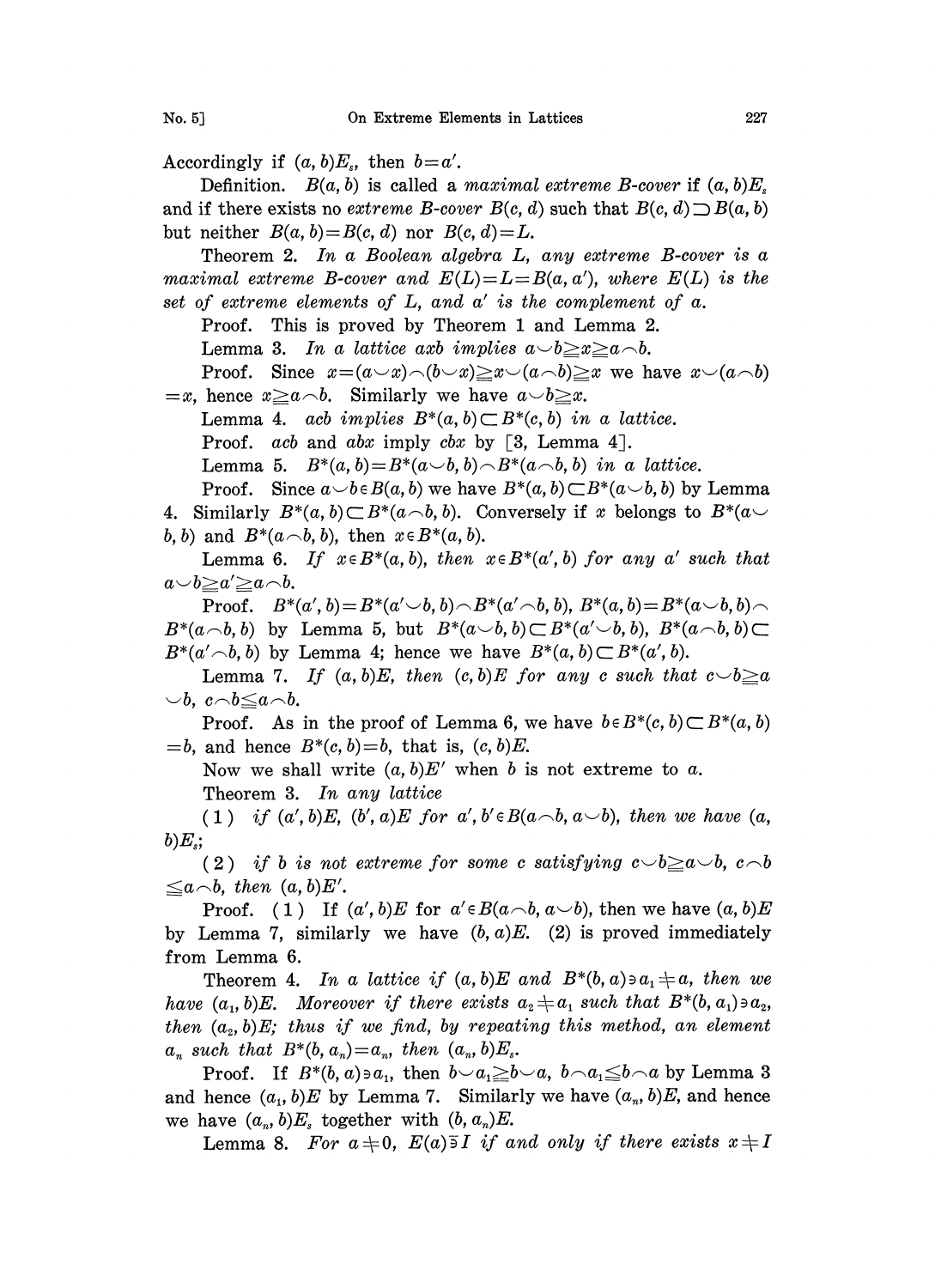Accordingly if  $(a, b)E_s$ , then  $b=a'$ .

Definition.  $B(a, b)$  is called a maximal extreme B-cover if  $(a, b)E_s$ and if there exists no extreme B-cover  $B(c, d)$  such that  $B(c, d) \supset B(a, b)$ but neither  $B(a, b)=B(c, d)$  nor  $B(c, d)=L$ .

Theorem 2. In a Boolean algebra L, any extreme B-cover is a maximal extreme B-cover and  $E(L)=L=B(a,a')$ , where  $E(L)$  is the set of extreme elements of  $L$ , and  $a'$  is the complement of  $a$ .

Proof. This is proved by Theorem <sup>1</sup> and Lemma 2.

Lemma 3. In a lattice axb implies  $a \rightarrow b \geq x \geq a \land b$ .

Proof. Since  $x=(a\vee x)\wedge(b\vee x)\geq x\vee(a\wedge b)\geq x$  we have  $x\vee(a\wedge b)$  $=x$ , hence  $x \ge a \wedge b$ . Similarly we have  $a \vee b \ge x$ .

Lemma 4. ach implies  $B^*(a, b) \subset B^*(c, b)$  in a lattice.

Proof. *ach* and *abx* imply *cbx* by [3, Lemma 4].

Lemma 5.  $B^*(a, b) = B^*(a \smile b, b) \frown B^*(a \frown b, b)$  in a lattice.

Proof. Since  $a \smile b \in B(a, b)$  we have  $B^*(a, b) \subset B^*(a \smile b, b)$  by Lemma 4. Similarly  $B^*(a, b) \subset B^*(a \wedge b, b)$ . Conversely if x belongs to  $B^*(a \vee b)$ b, b) and  $B^*(a \frown b, b)$ , then  $x \in B^*(a, b)$ .

Lemma 6. If  $x \in B^*(a, b)$ , then  $x \in B^*(a', b)$  for any a' such that  $a \smile b \geq a' \geq a \neg b$ .

Proof.  $B^*(a', b) = B^*(a' \cup b, b) \cap B^*(a' \cap b, b)$ ,  $B^*(a, b) = B^*(a \cup b, b) \cap$  $B^*(a\smallfrown b, b)$  by Lemma 5, but  $B^*(a\smallsmile b, b) \subset B^*(a'\smallsmile b, b), B^*(a\smallfrown b, b) \subset$  $B^*(a'\neg b, b)$  by Lemma 4; hence we have  $B^*(a, b) \subset B^*(a', b)$ .

Lemma 7. If  $(a, b)E$ , then  $(c, b)E$  for any c such that  $c \searrow b \ge a$  $\cup b$ ,  $c \wedge b \leq a \wedge b$ .

Proof. As in the proof of Lemma 6, we have  $b \in B^*(c, b) \subset B^*(a, b)$  $=$ b, and hence  $B^*(c, b) = b$ , that is,  $(c, b)E$ .

Now we shall write  $(a, b)E'$  when b is not extreme to a. Theorem 3. In any lattice

(1) if  $(a', b)E$ ,  $(b', a)E$  for  $a', b' \in B(a \land b, a \lor b)$ , then we have  $(a, b)$  $b)E_{s};$ 

(2) if b is not extreme for some c satisfying  $c\smile b\geq a\smile b$ ,  $c\smile b$  $\leq a \land b$ , then  $(a, b)E'$ .

Proof. ( 1) If  $(a', b)E$  for  $a' \in B(a \cap b, a \cup b)$ , then we have  $(a, b)E$ by Lemma 7, similarly we have  $(b, a)E$ . (2) is proved immediately from Lemma 6.

Theorem 4. In a lattice if  $(a, b)E$  and  $B^*(b, a) \ni a_1 \neq a$ , then we have  $(a_1, b)E$ . Moreover if there exists  $a_2 \neq a_1$  such that  $B^*(b, a_1) \ni a_2$ , then  $(a_2, b)E$ ; thus if we find, by repeating this method, an element  $a_n$  such that  $B^*(b, a_n) = a_n$ , then  $(a_n, b)E_s$ .

Proof. If  $B^*(b, a) \ni a_1$ , then  $b \smile a_1 \geq b \smile a$ ,  $b \neg a_1 \leq b \neg a$  by Lemma 3 and hence  $(a_1, b)E$  by Lemma 7. Similarly we have  $(a_n, b)E$ , and hence we have  $(a_n, b)E_s$  together with  $(b, a_n)E$ .

Lemma 8. For  $a \neq 0$ ,  $E(a) \exists I$  if and only if there exists  $x \neq I$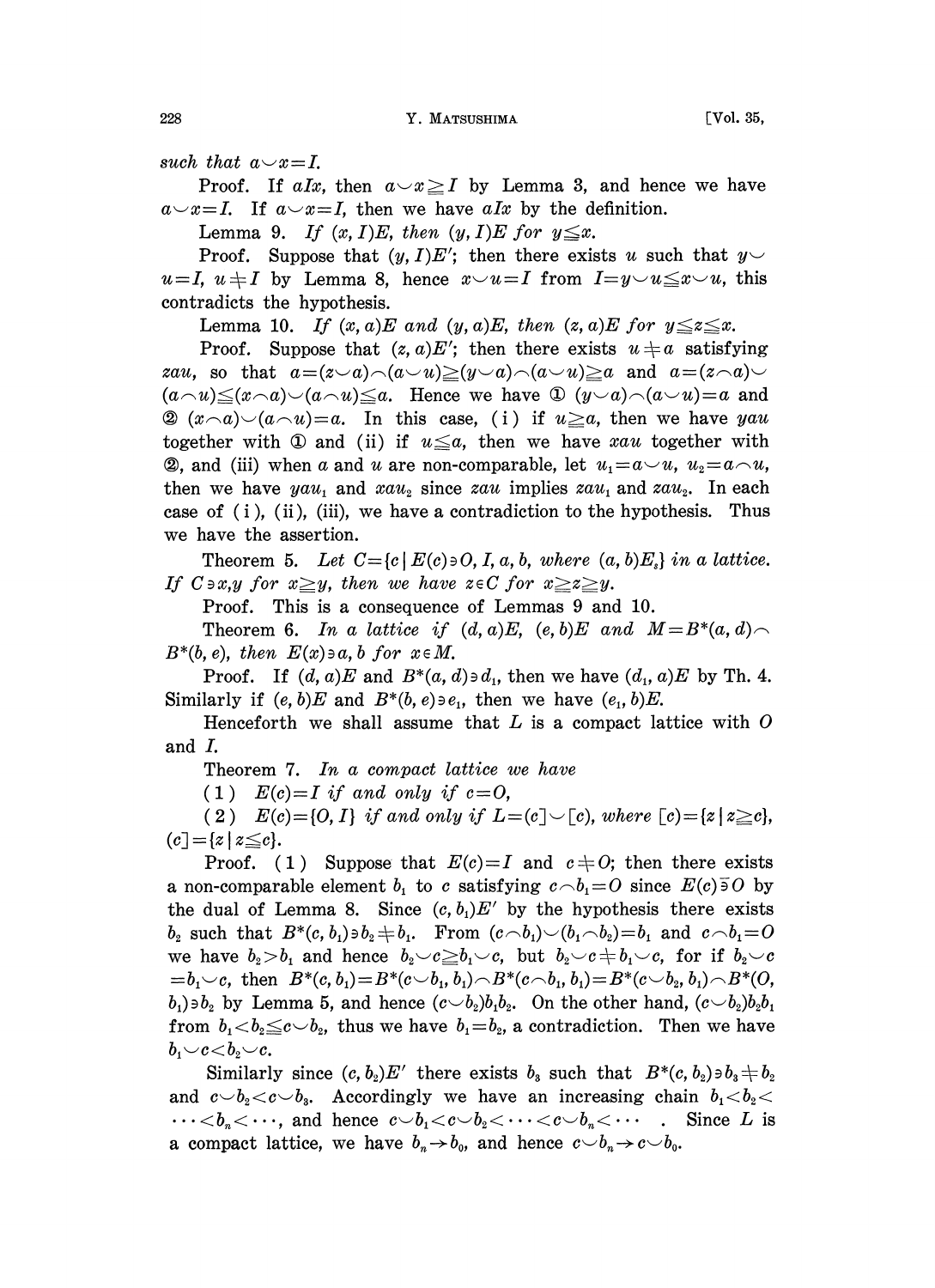such that  $a \sim x = I$ .

Proof. If aIx, then  $a \sim x \geq 1$  by Lemma 3, and hence we have  $a \sim x = I$ . If  $a \sim x = I$ , then we have alx by the definition.

Lemma 9. If  $(x, I)E$ , then  $(y, I)E$  for  $y \leq x$ .

Proof. Suppose that  $(y, I)E'$ ; then there exists u such that  $y \sim$  $u=I, u \neq I$  by Lemma 8, hence  $x \vee u = I$  from  $I=y \vee u \leq x \vee u$ , this contradicts the hypothesis.

Lemma 10. If  $(x, a)E$  and  $(y, a)E$ , then  $(z, a)E$  for  $y \le z \le x$ .

Proof. Suppose that  $(z, a)E'$ ; then there exists  $u \neq a$  satisfying zau, so that  $a=(z-a)\wedge(a\vee u)\ge (y\vee a)\wedge(a\vee u)\ge a$  and  $a=(z\wedge a)\vee$  $(a\wedge u) \leq (x\wedge a) \leq (a\wedge u) \leq a$ . Hence we have  $\mathbb{D}$   $(y\vee a) \wedge (a\vee u) = a$  and 2  $(x\wedge a)\vee(a\wedge u)=a$ . In this case, (i) if  $u\geq a$ , then we have yau together with  $\Phi$  and (ii) if  $u \leq a$ , then we have xau together with **2**, and (iii) when a and u are non-comparable, let  $u_1 = a \vee u$ ,  $u_2 = a \wedge u$ , then we have yau, and  $xau_2$  since zau implies  $zau_1$  and  $zau_2$ . In each case of (i), (ii), (iii), we have a contradiction to the hypothesis. Thus we have the assertion.

Theorem 5. Let  $C = \{c \mid E(c) \ni O, I, a, b, where (a, b)E_s\}$  in a lattice. If  $C \ni x, y$  for  $x \geq y$ , then we have  $z \in C$  for  $x \geq z \geq y$ .

Proof. This is a consequence of Lemmas 9 and 10.

Theorem 6. In a lattice if  $(d, a)E$ ,  $(e, b)E$  and  $M=B^*(a, d)$  $B^*(b, e)$ , then  $E(x) \ni a, b$  for  $x \in M$ .

Proof. If  $(d, a)E$  and  $B^*(a, d) \ni d_1$ , then we have  $(d_1, a)E$  by Th. 4. Similarly if  $(e, b)E$  and  $B^*(b, e) \ni e_1$ , then we have  $(e_1, b)E$ .

Henceforth we shall assume that  $L$  is a compact lattice with  $O$ and  $I$ .

Theorem 7. In a compact lattice we have

(1)  $E(c)=I$  if and only if  $c=0$ ,

(2)  $E(c) = \{0, I\}$  if and only if  $L = (c] \setminus [c)$ , where  $[c) = \{z \mid z \geq c\},$  $(c = |z| z \leq c).$ 

Proof. (1) Suppose that  $E(c)=I$  and  $c \neq 0$ ; then there exists a non-comparable element  $b_1$  to c satisfying  $c \neg b_1 = 0$  since  $E(c) \overline{\partial} O$  by the dual of Lemma 8. Since  $(c, b<sub>1</sub>)E'$  by the hypothesis there exists b<sub>2</sub> such that  $B^*(c, b_1) \ni b_2 \neq b_1$ . From  $(c \neg b_1) \neg (b_1 \neg b_2) = b_1$  and  $c \neg b_1 = 0$ <br>we have  $b_2 > b_1$  and hence  $b_2 \neg c \geq b_1 \neg c$ , but  $b_2 \neg c \neq b_1 \neg c$ , for if  $b_2 \neg c$ <br>or by an then  $B^*(c, b_1) = B^*(c_1, b_1) = B^*(c_2, b_1, b$  $= b_1 \sim c$ , then  $B^*(c, b_1) = B^*(c \sim b_1, b_1) \cap B^*(c \sim b_1, b_1) = B^*(c \sim b_2, b_1) \cap B^*(O,$  $(b_1) \ni b_2$  by Lemma 5, and hence  $(c \smile b_2)b_1b_2$ . On the other hand,  $(c \smile b_2)b_2b_1$ from  $b_1 < b_2 \leq c \lt b_2$ , thus we have  $b_1 = b_2$ , a contradiction. Then we have  $b_1 \smile c \smile b_2 \smile c$ .

Similarly since  $(c, b_2)E'$  there exists  $b_3$  such that  $B^*(c, b_2)\ni b_3 \neq b_2$ and  $c \smile b_2 < c \smile b_3$ . Accordingly we have an increasing chain  $b_1 < b_2 < c$  $\cdots < b_n < \cdots$ , and hence  $c \smile b_1 < c \smile b_2 < \cdots < c \smile b_n < \cdots$ . Since L is a compact lattice, we have  $b_n\rightarrow b_0$ , and hence  $c\smile b_n\rightarrow c\smile b_0$ .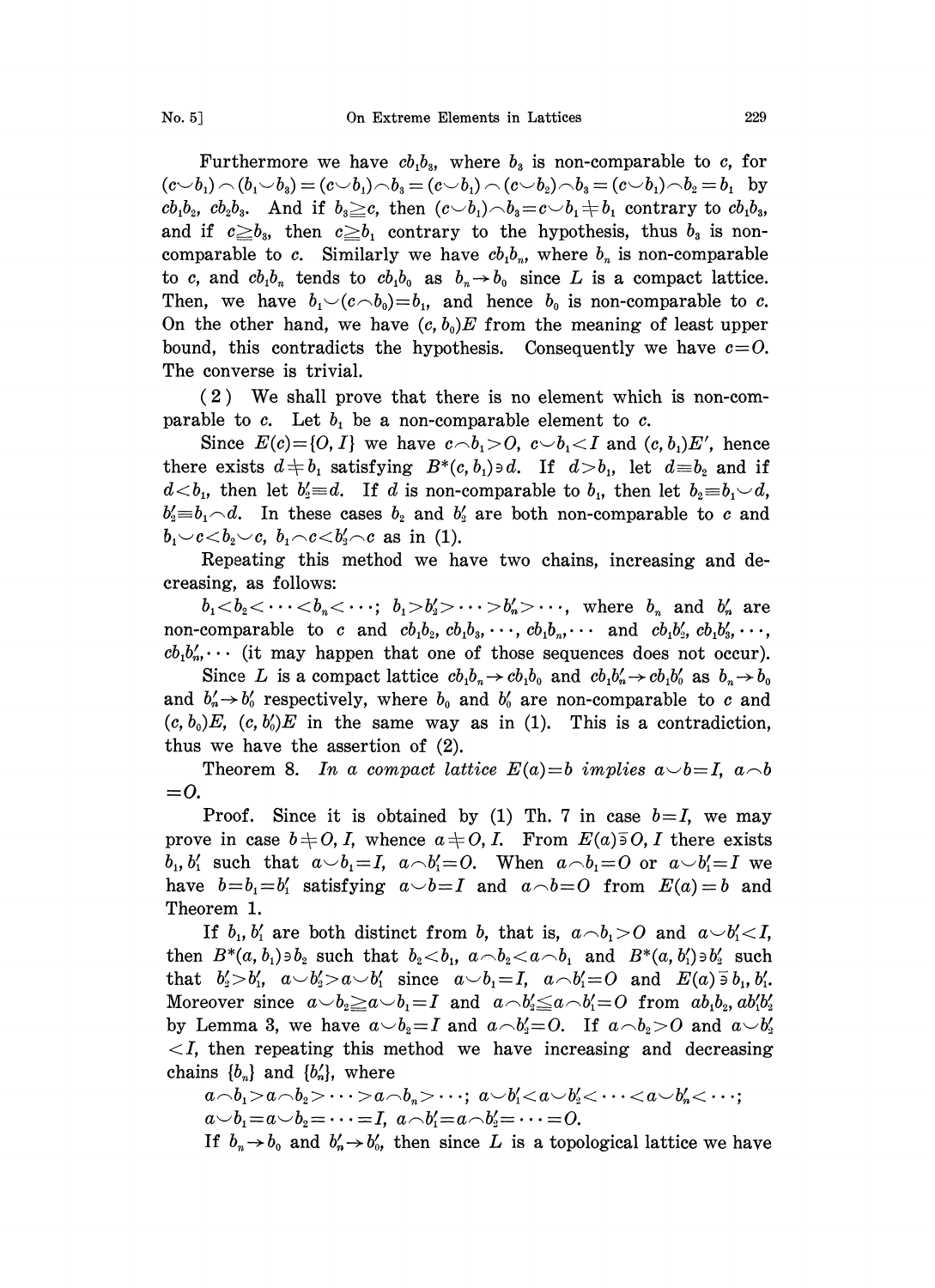Furthermore we have  $cb_1b_3$ , where  $b_3$  is non-comparable to c, for  $(c \smile b_1) \frown (b_1 \smile b_3) = (c \smile b_1) \frown b_3 = (c \smile b_1) \frown (c \smile b_2) \frown b_3 = (c \smile b_1) \frown b_2 = b_1$  by  $cb_1b_2$ ,  $cb_2b_3$ . And if  $b_3 \geq c$ , then  $(c \smile b_1) \wedge b_3 = c \smile b_1 \pm b_1$  contrary to  $cb_1b_3$ , and if  $c \geq b_3$ , then  $c \geq b_1$  contrary to the hypothesis, thus  $b_3$  is noncomparable to c. Similarly we have  $cb_1b_n$ , where  $b_n$  is non-comparable to c, and  $cb_1b_n$  tends to  $cb_1b_0$  as  $b_n \rightarrow b_0$  since L is a compact lattice. Then, we have  $b_1 \negthinspace \vee \negthinspace (c \negthinspace \negthinspace \wedge b_0)=b_1$ , and hence  $b_0$  is non-comparable to c. On the other hand, we have  $(c, b_0)E$  from the meaning of least upper bound, this contradicts the hypothesis. Consequently we have  $c=O$ . The converse is trivial.

(2) We shall prove that there is no element which is non-comparable to c. Let  $b_1$  be a non-comparable element to c.

Since  $E(c) = \{0, I\}$  we have  $c \wedge b_1 > 0$ ,  $c \vee b_1 < I$  and  $(c, b_1)E'$ , hence there exists  $d \neq b_1$  satisfying  $B^*(c, b_1) \ni d$ . If  $d > b_1$ , let  $d \equiv b_2$  and if  $d < b_1$ , then let  $b_2 \equiv d$ . If d is non-comparable to  $b_1$ , then let  $b_2 \equiv b_1 \smile d$ ,  $b'_1=b_1\hspace{-0.5mm}\sim\hspace{-0.5mm} d.$  In these cases  $b_2$  and  $b'_2$  are both non-comparable to c and  $b_1 \smile c \smile b_2 \smile c, b_1 \neg c \smile b_2' \neg c$  as in (1).

Repeating this method we have two chains, increasing and decreasing, as follows:

 $b_1 < b_2 < \cdots < b_n < \cdots$ ;  $b_1 > b'_2 > \cdots > b'_n > \cdots$ , where  $b_n$  and  $b'_n$  are non-comparable to c and  $cb_1b_2$ ,  $cb_1b_3$ ,  $\cdots$ ,  $cb_1b_n$ ,  $\cdots$  and  $cb_1b'_2$ ,  $cb_1b'_3$ ,  $\cdots$ ,  $cb_1b'_n$ ... (it may happen that one of those sequences does not occur).

Since L is a compact lattice  $cb_1b_n \rightarrow cb_1b_0$  and  $cb_1b'_n \rightarrow cb_1b'_0$  as  $b_n \rightarrow b_0$ and  $b'_n \rightarrow b'_0$  respectively, where  $b_0$  and  $b'_0$  are non-comparable to c and  $(c, b_0)E$ ,  $(c, b_0)E$  in the same way as in (1). This is a contradiction, thus we have the assertion of (2).

Theorem 8. In a compact lattice  $E(a)=b$  implies  $a\smile b=I$ ,  $a\smile b$  $=$   $\overline{0}$ .

Proof. Since it is obtained by (1) Th. 7 in case  $b=I$ , we may prove in case  $b \neq 0, I$ , whence  $a \neq 0, I$ . From  $E(a) \overline{b} 0, I$  there exists  $b_1, b'_1$  such that  $a \neg b_1 = I$ ,  $a \neg b'_1 = O$ . When  $a \neg b_1 = O$  or  $a \neg b'_1 = I$  we have  $b=b_1=b'_1$  satisfying  $a\smile b=I$  and  $a\smile b=O$  from  $E(a)=b$  and Theorem 1.

If  $b_1, b'_1$  are both distinct from b, that is,  $a \neg b_1 > 0$  and  $a \neg b'_1 < I$ , then  $B^*(a, b_1)\ni b_2$  such that  $b_2,  $a\wedge b_2 and  $B^*(a, b_1')\ni b_2'$  such$$ that  $b'_1>b'_1$ ,  $a\smile b'_2>a\smile b'_1$  since  $a\smile b_1=I$ ,  $a\smile b'_1=O$  and  $E(a)\bar{\circ} b_1, b'_1$ . Moreover since  $a \smile b_2 \geq a \smile b_1 = I$  and  $a \neg b_2' \leq a \neg b_1' = O$  from  $ab_1b_2, ab_1'b_2'$ by Lemma 3, we have  $a\smile b_2=I$  and  $a\smile b'_2=O$ . If  $a\smile b_2>O$  and  $a\smile b'_2$  $\langle I, \rangle$  then repeating this method we have increasing and decreasing chains  ${b_n}$  and  ${b'_n}$ , where

$$
a \wedge b_1 > a \wedge b_2 > \cdots > a \wedge b_n > \cdots; \ a \vee b'_1 < a \vee b'_2 < \cdots < a \vee b'_n < \cdots;
$$
  
\n
$$
a \vee b_1 = a \vee b_2 = \cdots = I, \ a \wedge b'_1 = a \wedge b'_2 = \cdots = O.
$$
  
\nIf  $b_n \rightarrow b_0$  and  $b'_n \rightarrow b'_0$ , then since *L* is a topological lattice we have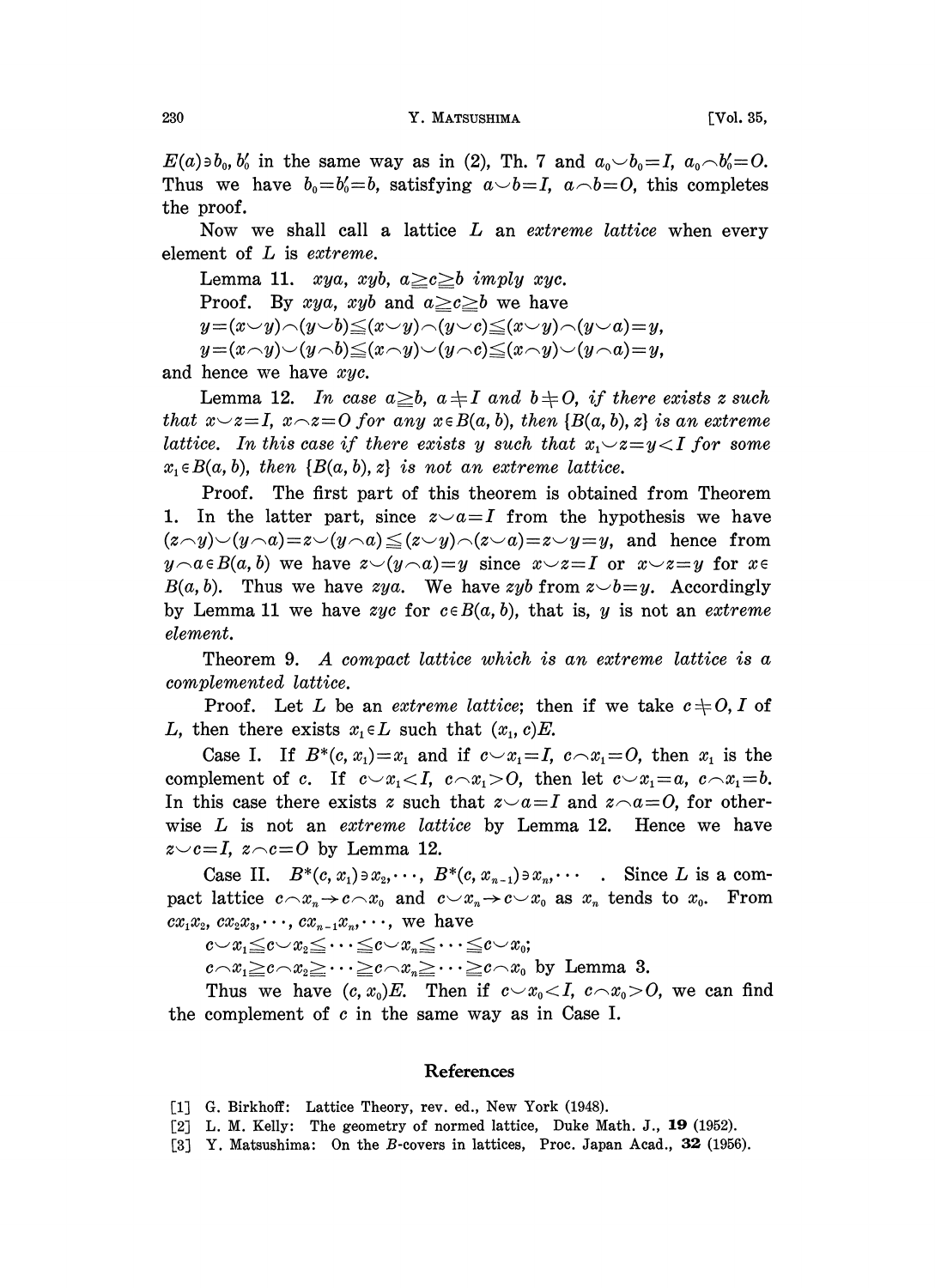$E(a) \in b_0, b'_0$  in the same way as in (2), Th. 7 and  $a_0 \smile b_0 = I$ ,  $a_0 \smile b'_0 = O$ . Thus we have  $b_0=b'_0=b$ , satisfying  $a\smile b=I$ ,  $a\smile b=O$ , this completes the proof.

Now we shall call a lattice L an extreme lattice when every element of L is extreme.

Lemma 11. xya, xyb,  $a \geq c \geq b$  imply xyc. Proof. By xya, xyb and  $a \geq c \geq b$  we have  $y=(x \vee y)\wedge(y \vee b) \leq (x \vee y)\wedge(y \vee c) \leq (x \vee y)\wedge(y \vee a)=y,$  $y=(x\wedge y)\vee(y\wedge b)\leq(x\wedge y)\vee(y\wedge c)\leq(x\wedge y)\vee(y\wedge a)=y,$ and hence we have xyc.

Lemma 12. In case  $a \geq b$ ,  $a \neq I$  and  $b \neq O$ , if there exists z such that  $x\rightarrow z=I$ ,  $x\rightarrow z=O$  for any  $x\in B(a, b)$ , then  $\{B(a, b), z\}$  is an extreme lattice. In this case if there exists y such that  $x_1 \negthinspace \sim \negthinspace z = y \negthinspace < \negthinspace I$  for some  $x_1 \in B(a, b)$ , then  $\{B(a, b), z\}$  is not an extreme lattice.

Proof. The first part of this theorem is obtained from Theorem 1. In the latter part, since  $z \sim a = I$  from the hypothesis we have  $(z\wedge y)\vee (y\wedge a)=z\vee (y\wedge a)\leq (z\vee y)\wedge (z\vee a)=z\vee y=y$ , and hence from  $y \wedge a \in B(a, b)$  we have  $z \vee (y \wedge a)=y$  since  $x \vee z=I$  or  $x \vee z=y$  for  $x \in B$  $B(a, b)$ . Thus we have zya. We have zyb from  $z \rightarrow b = y$ . Accordingly by Lemma 11 we have zyc for  $c \in B(a, b)$ , that is, y is not an extreme element.

Theorem 9. A compact lattice which is an extreme lattice is a complemented lattice.

Proof. Let L be an extreme lattice; then if we take  $c\neq 0, I$  of L, then there exists  $x_1 \in L$  such that  $(x_1, c)E$ .

Case I. If  $B^*(c, x_1)=x_1$  and if  $c\smile x_1=I$ ,  $c\smile x_1=O$ , then  $x_1$  is the complement of c. If  $c \sim x_1 < I$ ,  $c \sim x_1 > O$ , then let  $c \sim x_1 = a$ ,  $c \sim x_1 = b$ . In this case there exists z such that  $z \sim a=I$  and  $z \sim a=O$ , for otherwise  $L$  is not an extreme lattice by Lemma 12. Hence we have  $z \sim c=I$ ,  $z \sim c=O$  by Lemma 12.

Case II.  $B^*(c, x_1) \ni x_2, \cdots, B^*(c, x_{n-1}) \ni x_n, \cdots$  Since L is a compact lattice  $c \wedge x_n \rightarrow c \wedge x_0$  and  $c \vee x_n \rightarrow c \vee x_0$  as  $x_n$  tends to  $x_0$ . From  $cx_1x_2, cx_2x_3, \cdots, cx_{n-1}x_n, \cdots$ , we have

 $c \sim x_1 \leq c \sim x_2 \leq \cdots \leq c \sim x_n \leq \cdots \leq c \sim x_0;$ <br> $c \sim x_1 \geq c \sim x_2 \geq \cdots \geq c \sim x_n \geq \cdots \geq c \sim x_0$  by Lemma 3.

Thus we have  $(c, x_0)E$ . Then if  $c \sim x_0 < I$ ,  $c \sim x_0 > O$ , we can find the complement of  $c$  in the same way as in Case I.

## **References**

- [1] G. Birkhoff: Lattice Theory, rev. ed., New York (1948).
- [2] L. M. Kelly: The geometry of normed lattice, Duke Math. J., 19 (1952).
- [3] Y. Matsushima: On the B-covers in lattices, Proc. Japan Acad.,  $32$  (1956).